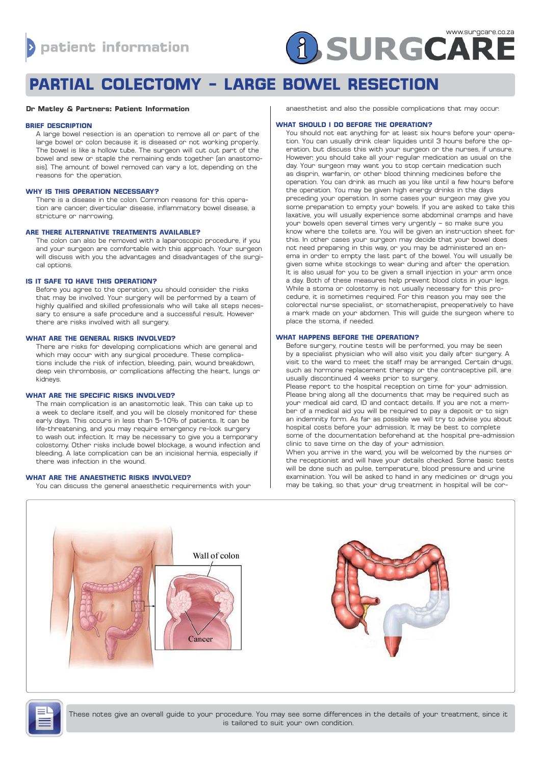

# **PARTIAL COLECTOMY - LARGE BOWEL RESECTION**

#### **Dr Matley & Partners: Patient Information**

#### **BRIEF DESCRIPTION**

A large bowel resection is an operation to remove all or part of the large bowel or colon because it is diseased or not working properly. The bowel is like a hollow tube. The surgeon will cut out part of the bowel and sew or staple the remaining ends together (an anastomosis). The amount of bowel removed can vary a lot, depending on the reasons for the operation.

### **WHY IS THIS OPERATION NECESSARY?**

There is a disease in the colon. Common reasons for this operation are cancer, diverticular disease, inflammatory bowel disease, a stricture or narrowing.

# **ARE THERE ALTERNATIVE TREATMENTS AVAILABLE?**

The colon can also be removed with a laparoscopic procedure, if you and your surgeon are comfortable with this approach. Your surgeon will discuss with you the advantages and disadvantages of the surgical options.

# **IS IT SAFE TO HAVE THIS OPERATION?**

Before you agree to the operation, you should consider the risks that may be involved. Your surgery will be performed by a team of highly qualified and skilled professionals who will take all steps necessary to ensure a safe procedure and a successful result. However there are risks involved with all surgery.

#### **WHAT ARE THE GENERAL RISKS INVOLVED?**

There are risks for developing complications which are general and which may occur with any surgical procedure. These complications include the risk of infection, bleeding, pain, wound breakdown, deep vein thrombosis, or complications affecting the heart, lungs or kidneys.

# **WHAT ARE THE SPECIFIC RISKS INVOLVED?**

The main complication is an anastomotic leak. This can take up to a week to declare itself, and you will be closely monitored for these early days. This occurs in less than 5-10% of patients. It can be life-threatening, and you may require emergency re-look surgery to wash out infection. It may be necessary to give you a temporary colostomy. Other risks include bowel blockage, a wound infection and bleeding. A late complication can be an incisional hernia, especially if there was infection in the wound.

#### **WHAT ARE THE ANAESTHETIC RISKS INVOLVED?**

You can discuss the general anaesthetic requirements with your

anaesthetist and also the possible complications that may occur.

# **WHAT SHOULD I DO BEFORE THE OPERATION?**

You should not eat anything for at least six hours before your operation. You can usually drink clear liquides until 3 hours before the operation, but discuss this with your surgeon or the nurses, if unsure. However, you should take all your regular medication as usual on the day. Your surgeon may want you to stop certain medication such as disprin, warfarin, or other blood thinning medicines before the operation. You can drink as much as you like until a few hours before the operation. You may be given high energy drinks in the days preceding your operation. In some cases your surgeon may give you some preparation to empty your bowels. If you are asked to take this laxative, you will usually experience some abdominal cramps and have your bowels open several times very urgently – so make sure you know where the toilets are. You will be given an instruction sheet for this. In other cases your surgeon may decide that your bowel does not need preparing in this way, or you may be administered an enema in order to empty the last part of the bowel. You will usually be given some white stockings to wear during and after the operation. It is also usual for you to be given a small injection in your arm once a day. Both of these measures help prevent blood clots in your legs. While a stoma or colostomy is not usually necessary for this procedure, it is sometimes required. For this reason you may see the colorectal nurse specialist, or stomatherapist, preoperatively to have a mark made on your abdomen. This will guide the surgeon where to place the stoma, if needed.

# **WHAT HAPPENS BEFORE THE OPERATION?**

Before surgery, routine tests will be performed, you may be seen by a specialist physician who will also visit you daily after surgery. A visit to the ward to meet the staff may be arranged. Certain drugs, such as hormone replacement therapy or the contraceptive pill, are usually discontinued 4 weeks prior to surgery.

Please report to the hospital reception on time for your admission. Please bring along all the documents that may be required such as your medical aid card, ID and contact details. If you are not a member of a medical aid you will be required to pay a deposit or to sign an indemnity form. As far as possible we will try to advise you about hospital costs before your admission. It may be best to complete some of the documentation beforehand at the hospital pre-admission clinic to save time on the day of your admission.

When you arrive in the ward, you will be welcomed by the nurses or the receptionist and will have your details checked. Some basic tests will be done such as pulse, temperature, blood pressure and urine examination. You will be asked to hand in any medicines or drugs you may be taking, so that your drug treatment in hospital will be cor-





These notes give an overall guide to your procedure. You may see some differences in the details of your treatment, since it is tailored to suit your own condition.